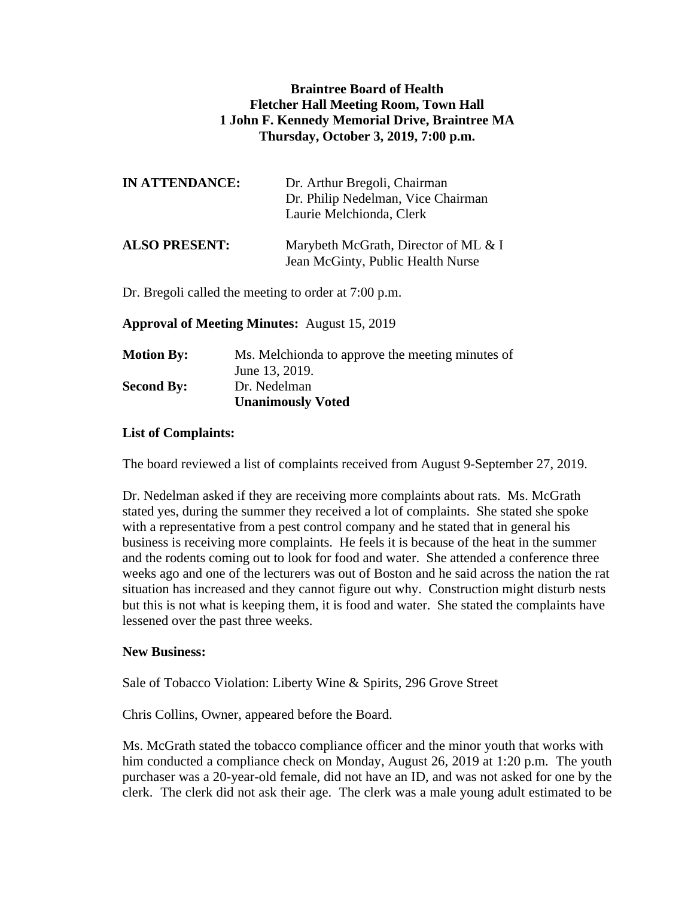## **Braintree Board of Health Fletcher Hall Meeting Room, Town Hall 1 John F. Kennedy Memorial Drive, Braintree MA Thursday, October 3, 2019, 7:00 p.m.**

| <b>IN ATTENDANCE:</b> | Dr. Arthur Bregoli, Chairman<br>Dr. Philip Nedelman, Vice Chairman<br>Laurie Melchionda, Clerk |
|-----------------------|------------------------------------------------------------------------------------------------|
| <b>ALSO PRESENT:</b>  | Marybeth McGrath, Director of ML & I<br>Jean McGinty, Public Health Nurse                      |

Dr. Bregoli called the meeting to order at 7:00 p.m.

**Approval of Meeting Minutes:** August 15, 2019

| <b>Motion By:</b> | Ms. Melchionda to approve the meeting minutes of |
|-------------------|--------------------------------------------------|
|                   | June 13, 2019.                                   |
| <b>Second By:</b> | Dr. Nedelman                                     |
|                   | <b>Unanimously Voted</b>                         |

## **List of Complaints:**

The board reviewed a list of complaints received from August 9-September 27, 2019.

Dr. Nedelman asked if they are receiving more complaints about rats. Ms. McGrath stated yes, during the summer they received a lot of complaints. She stated she spoke with a representative from a pest control company and he stated that in general his business is receiving more complaints. He feels it is because of the heat in the summer and the rodents coming out to look for food and water. She attended a conference three weeks ago and one of the lecturers was out of Boston and he said across the nation the rat situation has increased and they cannot figure out why. Construction might disturb nests but this is not what is keeping them, it is food and water. She stated the complaints have lessened over the past three weeks.

## **New Business:**

Sale of Tobacco Violation: Liberty Wine & Spirits, 296 Grove Street

Chris Collins, Owner, appeared before the Board.

Ms. McGrath stated the tobacco compliance officer and the minor youth that works with him conducted a compliance check on Monday, August 26, 2019 at 1:20 p.m. The youth purchaser was a 20-year-old female, did not have an ID, and was not asked for one by the clerk. The clerk did not ask their age. The clerk was a male young adult estimated to be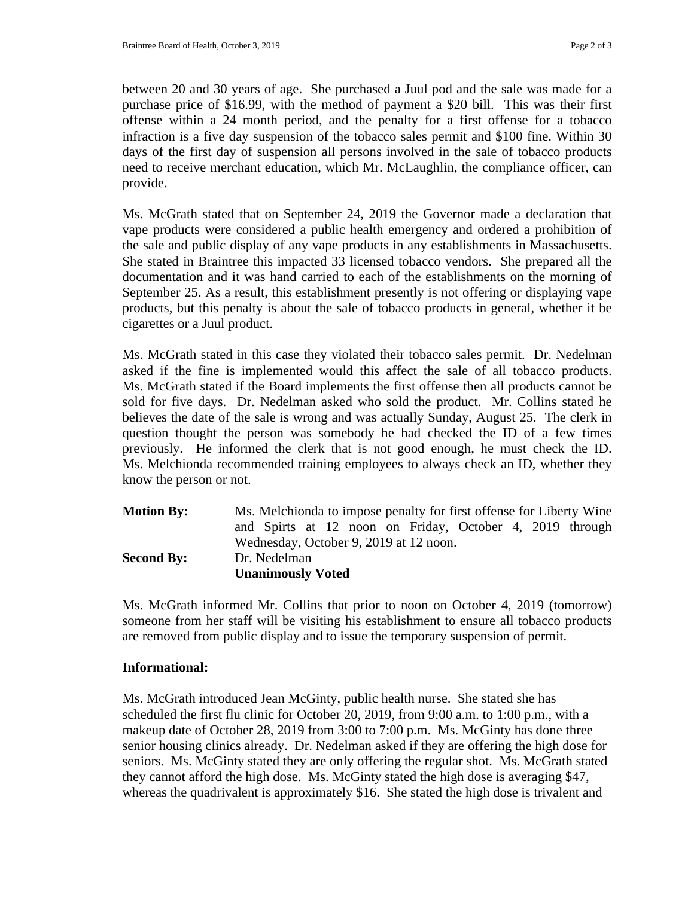between 20 and 30 years of age. She purchased a Juul pod and the sale was made for a purchase price of \$16.99, with the method of payment a \$20 bill. This was their first offense within a 24 month period, and the penalty for a first offense for a tobacco infraction is a five day suspension of the tobacco sales permit and \$100 fine. Within 30 days of the first day of suspension all persons involved in the sale of tobacco products need to receive merchant education, which Mr. McLaughlin, the compliance officer, can provide.

Ms. McGrath stated that on September 24, 2019 the Governor made a declaration that vape products were considered a public health emergency and ordered a prohibition of the sale and public display of any vape products in any establishments in Massachusetts. She stated in Braintree this impacted 33 licensed tobacco vendors. She prepared all the documentation and it was hand carried to each of the establishments on the morning of September 25. As a result, this establishment presently is not offering or displaying vape products, but this penalty is about the sale of tobacco products in general, whether it be cigarettes or a Juul product.

Ms. McGrath stated in this case they violated their tobacco sales permit. Dr. Nedelman asked if the fine is implemented would this affect the sale of all tobacco products. Ms. McGrath stated if the Board implements the first offense then all products cannot be sold for five days. Dr. Nedelman asked who sold the product. Mr. Collins stated he believes the date of the sale is wrong and was actually Sunday, August 25. The clerk in question thought the person was somebody he had checked the ID of a few times previously. He informed the clerk that is not good enough, he must check the ID. Ms. Melchionda recommended training employees to always check an ID, whether they know the person or not.

| <b>Motion By:</b> | Ms. Melchionda to impose penalty for first offense for Liberty Wine |
|-------------------|---------------------------------------------------------------------|
|                   | and Spirts at 12 noon on Friday, October 4, 2019 through            |
|                   | Wednesday, October 9, 2019 at 12 noon.                              |
| <b>Second By:</b> | Dr. Nedelman                                                        |
|                   | <b>Unanimously Voted</b>                                            |

Ms. McGrath informed Mr. Collins that prior to noon on October 4, 2019 (tomorrow) someone from her staff will be visiting his establishment to ensure all tobacco products are removed from public display and to issue the temporary suspension of permit.

## **Informational:**

Ms. McGrath introduced Jean McGinty, public health nurse. She stated she has scheduled the first flu clinic for October 20, 2019, from 9:00 a.m. to 1:00 p.m., with a makeup date of October 28, 2019 from 3:00 to 7:00 p.m. Ms. McGinty has done three senior housing clinics already. Dr. Nedelman asked if they are offering the high dose for seniors. Ms. McGinty stated they are only offering the regular shot. Ms. McGrath stated they cannot afford the high dose. Ms. McGinty stated the high dose is averaging \$47, whereas the quadrivalent is approximately \$16. She stated the high dose is trivalent and